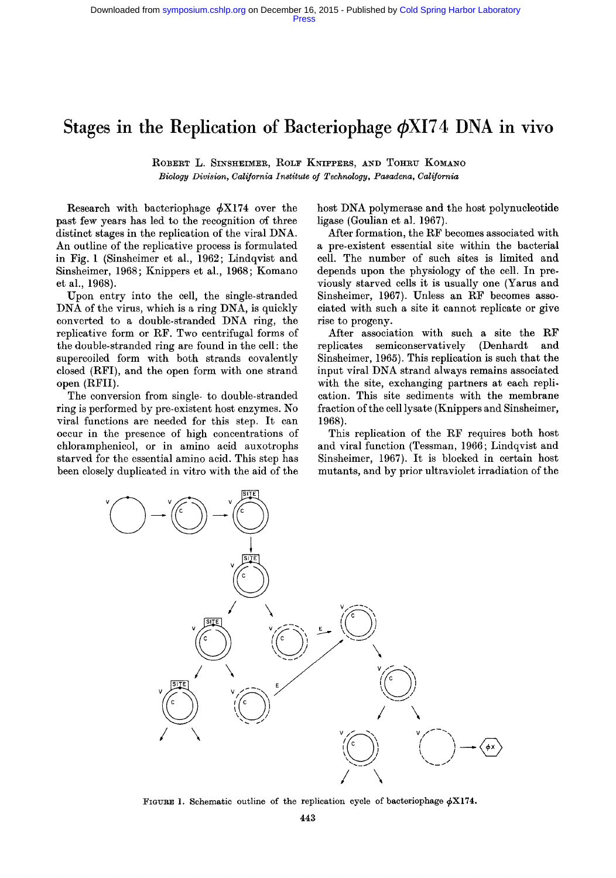# Stages in the Replication of Bacteriophage  $\phi$ XI74 DNA in vivo

ROBERT L. SINSHEIMER, ROLF KNIFPERS, AND TOHRU KOMANO *Biology Division, California Institute of Technology, Pasadena, California* 

Research with bacteriophage  $\phi$ X174 over the past few years has led to the recognition of three distinct stages in the replication of the viral DNA. An outline of the replicative process is formulated in Fig. 1 (Sinsheimer et al., 1962; Lindqvist **and**  Sinsheimer, 1968; Knippers et al., 1968; Komano et al., 1968).

Upon entry into the cell, the single-stranded DNA of the virus, which is a ring DNA, is quickly converted to a double-stranded DNA ring, the replicative form or RF. Two centrifugal forms of the double-stranded ring are found in the cell: the supercoiled form with both strands covalently closed (RFI), and the open form with one strand open (RFII).

The conversion from single- to double-stranded ring is performed by pre-existent host enzymes. No viral functions are needed for this step. It can occur in the presence of high concentrations of chloramphenicol, or in amino acid auxotrophs starved for the essential amino acid. This step has been closely duplicated in vitro with the aid of the host DNA polymerase and the host polynucleotide ligase (Goulian et al. 1967).

After formation, the RF becomes associated with a pre-existent essential site within the bacterial cell. The number of such sites is limited **and**  depends upon the physiology of the cell. In previously starved cells it is usually one (Yarus and Sinsheimer, 1967). Unless an RF becomes associated with such a site it cannot replicate or give rise to progeny.

After association with such a site the RF replicates semiconservatively (Denhardt and Sinsheimer, 1965). This replication is such that the input viral DNA strand always remains associated with the site, exchanging partners at each replication. This site sediments with the membrane fraction of the cell lysate (Knippers and Sinsheimer, 1968).

This replication of the RF requires both host and viral function (Tessman, 1966; Lindqvist and Sinsheimer, 1967). It is blocked in certain host mutants, and by prior ultraviolet irradiation of the



FIGURE 1. Schematic outline of the replication cycle of bacteriophage  $\phi X174$ .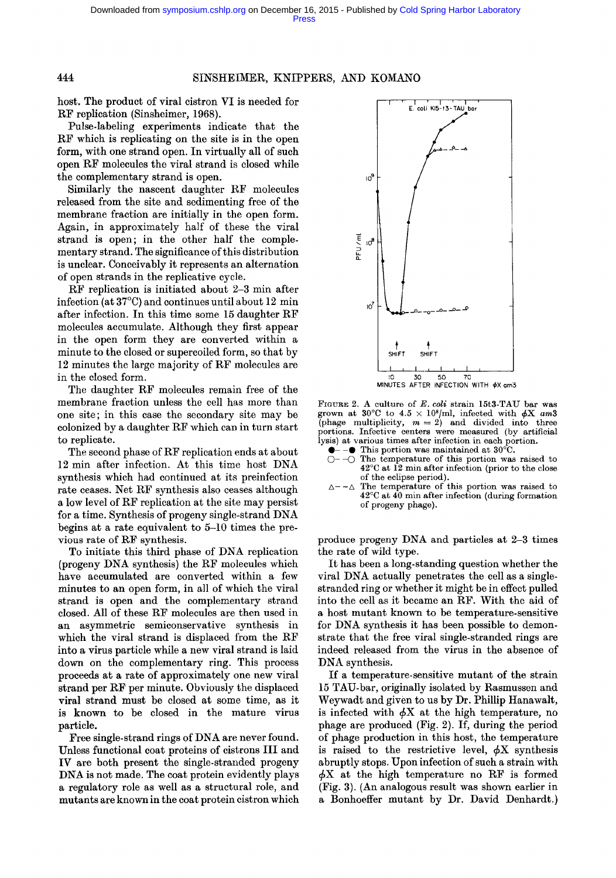### 444 SINSHEIMER, KNIPPERS, AND KOMANO

host. The product of viral cistron VI is needed for RF replication (Sinsheimer, 1968).

Pulse-labeling experiments indicate that the RF which is replicating on the site is in the open form, with one strand open. In virtually all of such open RF molecules the viral strand is closed while the complementary strand is open.

Similarly the nascent daughter RF molecules released from the site and sedimenting free of the membrane fraction are initially in the open form. Again, in approximately half of these the viral strand is open; in the other half the complementary strand. The significance of this distribution is unclear. Conceivably it represents an alternation of open strands in the replicative cycle.

RF replication is initiated about 2-3 min after infection (at  $37^{\circ}$ C) and continues until about 12 min after infection. In this time some 15 daughter RF molecules accumulate. Although they first appear in the open form they are converted within a minute to the closed or supercoiled form, so that by 12 minutes the large majority of RF molecules are in the closed form.

The daughter RF molecules remain free of the membrane fraction unless the cell has more than one site; in this case the secondary site may be colonized by a daughter RF which can in turn start to replicate.

The second phase of RF replication ends at about 12 min after infection. At this time host DNA synthesis which had continued at its preinfection rate ceases. Net RF synthesis also ceases although a low level of RF replication at the site may persist for a time. Synthesis of progeny single-strand DNA begins at a rate equivalent to 5-10 times the previous rate of RF synthesis.

To initiate this third phase of DNA replication (progeny DNA synthesis) the RF molecules which have accumulated are converted within a few minutes to an open form, in all of which the viral strand is open and the complementary strand closed. All of these RF molecules are then used in an asymmetric semiconservative synthesis in which the viral strand is displaced from the RF into a virus particle while a new viral strand is laid down on the complementary ring. This process proceeds at a rate of approximately one new viral strand per RF per minute. Obviously the displaced viral strand must be closed at some time, as it is known to be closed in the mature virus particle.

Free single-strand rings of DNA are never found. Unless functional coat proteins of cistrons III and IV are both present the single-stranded progeny *DNA* is not made. The coat protein evidently plays a regulatory role as well as a structural role, and mutants are known in the coat protein cistron which



FIGURE 2. A culture of *E. coli* strain 15t3-TAU bar was grown at 30<sup>o</sup>C to 4.5  $\times$  10<sup>8</sup>/ml, infected with  $\phi$ X *am*3 (phage multiplicity,  $m = 2$ ) and divided into three portions. Infective centers were measured (by artificial lysis) at various times after infection in each portion.

- $-\bullet$  This portion was maintained at 30 $^{\circ}$ C.
- $-\bigcirc$  The temperature of this portion was raised to  $42^{\circ}$ C at 12 min after infection (prior to the close of the eclipse period).
- $\Delta$ -- $\Delta$  The temperature of this portion was raised to  $42^{\circ}$ C at  $40$  min after infection (during formation of progeny phage).

produce progeny DNA and particles at 2-3 times the rate of wild type.

It has been a long-standing question whether the viral DNA actually penetrates the cell as a singlestranded ring or whether it might be in effect pulled into the cell as it became an RF. With the aid of a host mutant known to be temperature-sensitive for DNA synthesis it has been possible to demonstrate that the free viral single-stranded rings are indeed released from the virus in the absence of DNA synthesis.

If a temperature-sensitive mutant of the strain 15 TAU-bar, originally isolated by Rasmussen and Weywadt and given to us by Dr. Phillip Hanawalt, is infected with  $\phi X$  at the high temperature, no phage are produced (Fig. 2). If, during the period of phage production in this host, the temperature is raised to the restrictive level,  $\phi$ X synthesis abruptly stops. Upon infection of such a strain with  $\phi X$  at the high temperature no RF is formed (Fig. 3). (An analogous result was shown earlier in a Bonhoeffer mutant by Dr. David Denhardt.)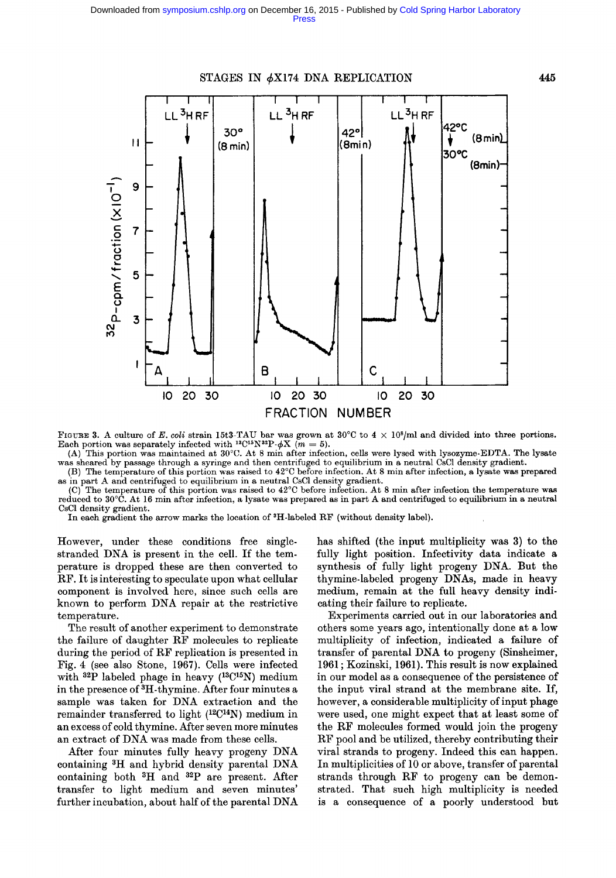

FIGURE 3. A culture of *E. coli* strain 15t3-TAU bar was grown at  $30^{\circ}$ C to  $4 \times 10^{8}$ /ml and divided into three portions. Each portion was separately infected with <sup>13</sup>C<sup>15</sup>N<sup>32</sup>P- $\phi$ X (m = 5).

(A) This portion was maintained at  $30^{\circ}\text{C}$ . At 8 min after infection, cells were lysed with lysozyme-EDTA. The lysate was sheared by passage through a syringe and then centrifuged to equilibrium in a neutral CsCl density gradient.

(B) The temperature of this portion was raised to 42~ before infection. At 8 min after infection, a lysate was prepared as in part A and centrifuged to equilibrium in a neutral CsC1 density gradient.

(C) The temperature of this portion was raised to  $42^{\circ}$ C before infection. At 8 min after infection the temperature was reduced to 30°C. At 16 min after infection, a lysate was prepared as in part A and centrifuged to equilibrium in a neutral CsC1 density gradient.

In each gradient the arrow marks the location of 3H-labeled RF (without density label).

However, under these conditions free singlestranded DNA is present in the cell. If the temperature is dropped these are then converted to RF. It is interesting to speculate upon what cellular component is involved here, since such cells are known to perform DNA repair at the restrictive temperature.

The result of another experiment to demonstrate the failure of daughter RF molecules to replicate during the period of RF replication is presented in Fig. 4 (see also Stone, 1967). Cells were infected with <sup>32</sup>P labeled phage in heavy (<sup>13</sup>C<sup>15</sup>N) medium in the presence of  ${}^{3}H$ -thymine. After four minutes a sample was taken for DNA extraction and the remainder transferred to light (12C14N) medium in an excess of cold thymine. After seven more minutes an extract of DNA was made from these cells.

After four minutes fully heavy progeny DNA containing 8H and hybrid density parental DNA containing both <sup>3</sup>H and <sup>32</sup>P are present. After transfer to light medium and seven minutes' further incubation, about half of the parental DNA has shifted (the input multiplicity was 3) to the fully light position. Infectivity data indicate a synthesis of fully light progeny DNA. But the thymine-labeled progeny DNAs, made in heavy medium, remain at the full heavy density indicating their failure to replicate.

Experiments carried out in our laboratories and others some years ago, intentionally done at a low multiplicity of infection, indicated a failure of transfer of parental DNA to progeny (Sinsheimer, 1961 ; Kozinski, 1961). This result is now explained in our model as a consequence of the persistence of the input viral strand at the membrane site. If, however, a considerable multiplicity of input phage were used, one might expect that at least some of the RF molecules formed would join the progeny RF pool and be utilized, thereby contributing their viral strands to progeny. Indeed this can happen. In multiplicities of 10 or above, transfer of parental strands through RF to progeny can be demonstrated. That such high multiplicity is needed is a consequence of a poorly understood but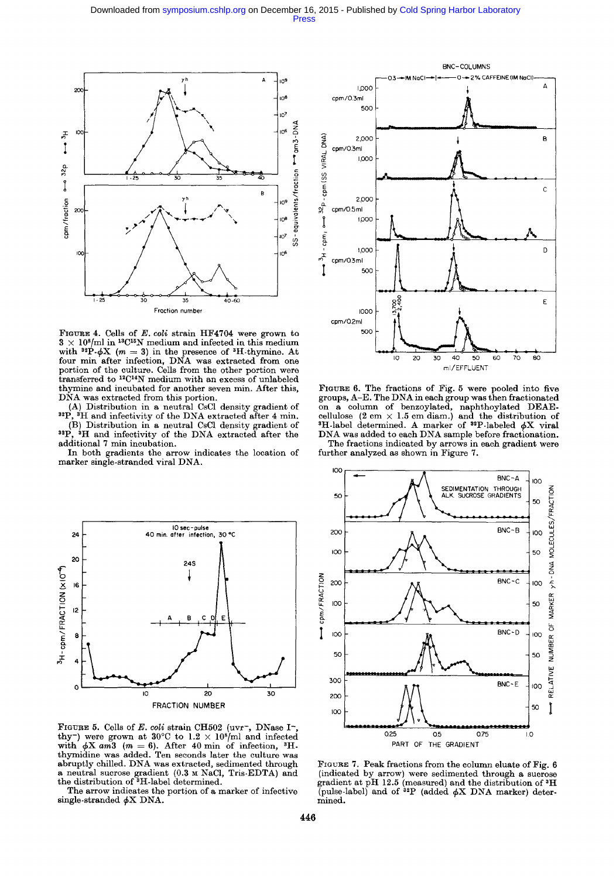

FIGURE 4. Cells of *E. coli* strain HF4704 were grown to  $3 \times 10^{8}$ /ml in <sup>13</sup>C<sup>15</sup>N medium and infected in this medium with <sup>32</sup>P- $\phi$ X (m = 3) in the presence of <sup>3</sup>H-thymine. At four min after infection, DNA was extracted from one portion of the culture. Cells from the other portion were transferred to <sup>12</sup>C<sup>14</sup>N medium with an excess of unlabeled thymine and incubated for another seven min. After this, DNA was extracted from this portion.

(A) Distribution in a neutral CsC1 density gradient of  $^{32}P$ ,  $^{4}H$  and infectivity of the DNA extracted after 4 min. (B) Distribution in a neutral CsCl density gradient of  $3^{2}P$ .  $^{3}H$  and infectivity of the DNA extracted after the

, <sup>5</sup>H and infectivity of the DNA extracted after the additional 7 min incubation.

In both gradients the arrow indicates the location of marker single-stranded viral DNA.



FIGURE 5. Cells of  $E.$  coli strain CH502 (uvr<sup>-</sup>, DNase I<sup>-</sup>, thy<sup>-</sup>) were grown at 30°C to  $1.2 \times 10^8$ /ml and infected with  $\phi X$  *am*3 (*m* = 6). After 40 min of infection, <sup>3</sup>Hthymidine was added. Ten seconds later the culture was abruptly chilled. DNA was extracted, sedimented through a neutral sucrose gradient (0.3 M NaC1, Tris-EDTA) and the distribution of <sup>3</sup>H-label determined.

The arrow indicates the portion of a marker of infective single-stranded  $\phi$ X DNA.



**FIGURE 6. The fractions of Fig. 5 were pooled into five groups, A-E. The DNA in each group was then fractionated on a column of benzoylated, naphthoylated DEAE**cellulose  $(2 \text{ cm } \times 1.5 \text{ cm } \text{diam.})$  and the distribution of <sup>3</sup>H-label determined. A marker of <sup>32</sup>P-labeled  $\phi$ X viral **DNA was added to each DNA sample before fractionation. The fractions indicated by arrows in each gradient were** 

**further analyzed as shown in Figure 7.** 



FIGURE 7. Peak fractions from the column eluate of Fig. 6 (indicated by arrow) were sedimented through a sucrose gradient at pH 12.5 (measured) and the distribution of 3H (pulse-label) and of  $^{32}P$  (added  $\phi$ X DNA marker) determined.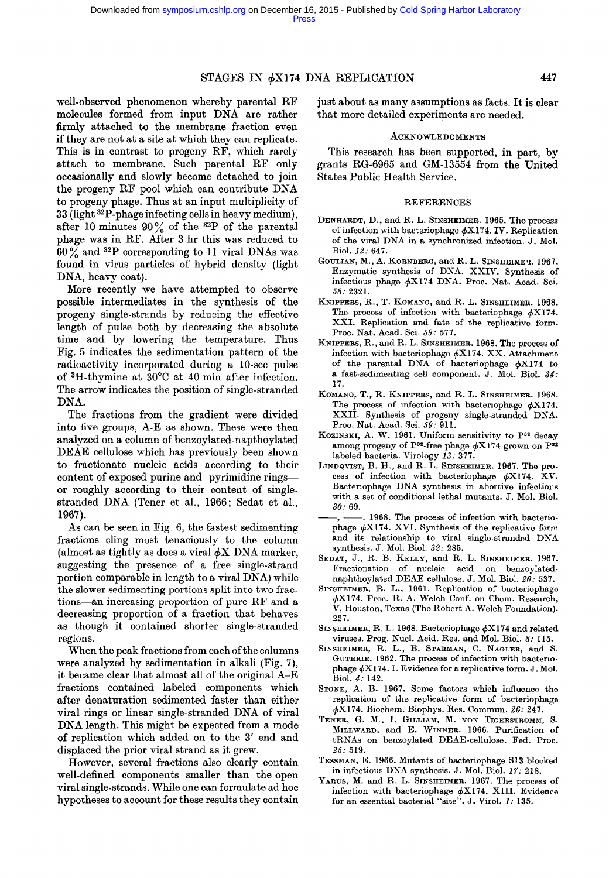## $STAGES \t{IN} \t{6}X174 \t{DNA} \t{REPLICATION}$  447

well-observed phenomenon whereby parental RF molecules formed from input DNA are rather firmly attached to the membrane fraction even if they are not at a site at which they can replicate. This is in contrast to progeny RF, which rarely attach to membrane. Such parental RF only occasionally and slowly become detached to join the progeny RF pool which can contribute DNA to progeny phage. Thus at an input multiplicity of 33 (light a2P-phage infecting cells in heavy medium), after 10 minutes  $90\%$  of the <sup>32</sup>P of the parental phage was in RF. After 3 hr this was reduced to  $60\%$  and <sup>32</sup>P corresponding to 11 viral DNAs was found in virus particles of hybrid density (light DNA, heavy coat).

More recently we have attempted to observe possible intermediates in the synthesis of the progeny single-strands by reducing the effective length of pulse both by decreasing the absolute time and by lowering the temperature. Thus Fig. 5 indicates the sedimentation pattern of the radioactivity incorporated during a 10-see pulse of  ${}^{3}$ H-thymine at 30 ${}^{0}$ C at 40 min after infection. The arrow indicates the position of single-stranded DNA.

The fractions from the gradient were divided into five groups, A-E as shown. These were then analyzed on a column of benzoylated-napthoylated DEAE cellulose which has previously been shown to fractionate nucleic acids according to their content of exposed purine and pyrimidine ringsor roughly according to their content of singlestranded DNA (Tener et al., 1966; Sedat et al., 1967).

As can be seen in Fig. 6, the fastest sedimenting fractions cling most tenaciously to the column (almost as tightly as does a viral  $\phi$ X DNA marker, suggesting the presence of a free single-strand portion comparable in length to a viral DNA) while the slower sedimenting portions split into two fractions-an increasing proportion of pure RF and a decreasing proportion of a fraction that behaves as though it contained shorter single-stranded regions.

When the peak fractions from each of the columns were analyzed by sedimentation in alkali (Fig. 7), it became clear that almost all of the original A-E fractions contained labeled components which after denaturation sedimented faster than either viral rings or linear single-stranded DNA of viral DNA length. This might be expected from a mode of replication which added on to the 3' end and displaced the prior viral strand as it grew.

However, several fractions also clearly contain well-defined components smaller than the open viral single-strands. While one can formulate ad hoc hypotheses to account for these results they contain

just about as many assumptions as facts. It is clear that more detailed experiments are needed.

#### ACKNOWLEDGMENTS

This research has been supported, in part, by grants RG-6965 and GM-13554 from the United States Public Health Service.

#### **REFERENCES**

- DENHARDT, D., and R. L. SINSHEIMER. 1965. The process of infection with bacteriophage  $\phi$ X174. IV. Replication of the viral DNA in a synchronized infection. J. Mol. Biol. *12:* 647.
- GOULIAN, M., A. KORNBERG, and R. L. SINSHEIMER. 1967. Enzymatic synthesis of DNA. XXIV. Synthesis of infectious phage  $\phi X174$  DNA. Proc. Nat. Acad. Sci. *58:* 2321.
- KNIPPERS, R., T. KOMANO, and R. L. SINSHEIMER. 1968. The process of infection with bacteriophage  $\phi$ X174. XXI. Replication and fate of the replicative form. Prec. Nat. Acad. Sci *59:* 577.
- KNIPPERS, R., and R. L. SINSHEIMER. 1968. The process of infection with bacteriophage  $\phi$ X174. XX. Attachment of the parental DNA of bacteriophage  $\phi$ X174 to a fast-sedimenting cell component. J. Mol. Biol. *34:*  17.
- KOMANO, T., R. KNIPPERS, and R. L. SINSHEIMER. 1968. The process of infection with bacteriophage  $\phi$ X174. XXII. Synthesis of progeny single-stranded DNA. Prec. Nat. Acad. Sci. *59:* 911.
- KOZINSKI, A. W. 1961. Uniform sensitivity to P<sup>32</sup> decay among progeny of P<sup>32</sup>-free phage  $\phi$ X174 grown on P<sup>32</sup> labeled bacteria. Virology *13:* 377.
- LINDQVIST, B. H., and R.  $L$ . SINSHEIMER. 1967. The process of infection with bacteriophage  $\phi$ X174. XV. Bacteriophage DNA synthesis in abortive infections with a set of conditional lethal mutants. J. Mol. Biol. *30:* 69.
- . 1968. The process of infection with bacteriophage  $\phi$ X174. XVI. Synthesis of the replicative form and its relationship to viral single-stranded DNA synthesis. J. Mol. Biol. *32:* 285.
- SEDAT, J., R. B. KELLY, and R. L. SINSHEIMER. 1967. Fractionation of nucleic acid on benzoylatodnaphthoylated DEAE cellulose. J. Mol. Biol. *20:* 537.
- SINSHEIMER, R. L., 1961. Replication of bacteriophage  $\phi$ X174. Proc. R. A. Welch Conf. on Chem. Research, V, Houston, Texas (The Robert A. Welch Foundation). 227.
- SINSHEIMER, R. L. 1968. Bacteriophage  $\phi$ X174 and related viruses. Prog. Nucl. Acid. Res. and Mol. Biol. *8:* 115.
- SINSHEIMER, R. L., B. STARMAN, C. NAGLER, and S. GUTHRIE. 1962. The process of infection with bacteriophage  $\phi$ X174. I. Evidence for a replicative form. J. Mol. Biol. *4:* 142.
- STONE, A. B. 1967. Some factors which influence the replication of the repticative form of bacteriophage ~bX174. Biochem. Biophys. Res. Commun. *26:* 247.
- TENER, G. M., I. GILLIAM, M. VON TIGERSTROMM, S. MILLWARD, and E. WINNER. 1966. Purification of tRNAs on benzoylated DEAE-cellulose. Fed. Proc. *25:* 519.
- TESSMAN, E. 1966. Mutants of bacteriophage S13 blocked in infectious DNA synthesis. J. Mol. Biol. *17:* 218.
- YARUS, M. and R. L. SINSHEIMER. 1967. The process of infection with bacteriophage  $\phi$ X174. XIII. Evidence for an essential bacterial "site". J. Virol. *1:* 135.